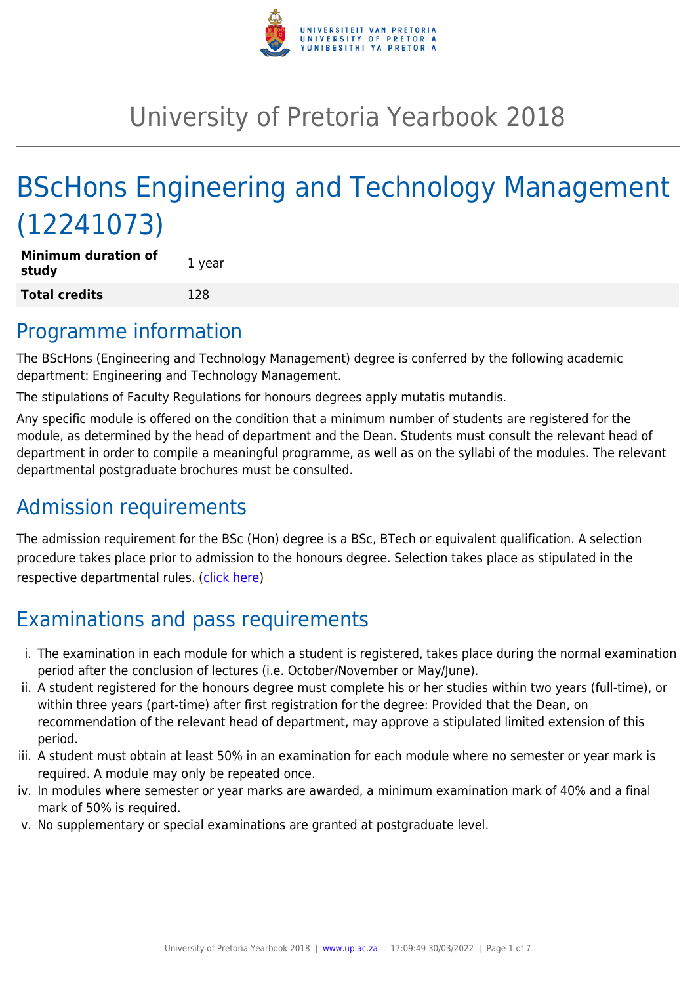

# University of Pretoria Yearbook 2018

# BScHons Engineering and Technology Management (12241073)

| <b>Minimum duration of</b><br>study | 1 year |
|-------------------------------------|--------|
| Total credits                       | 128    |

### Programme information

The BScHons (Engineering and Technology Management) degree is conferred by the following academic department: Engineering and Technology Management.

The stipulations of Faculty Regulations for honours degrees apply mutatis mutandis.

Any specific module is offered on the condition that a minimum number of students are registered for the module, as determined by the head of department and the Dean. Students must consult the relevant head of department in order to compile a meaningful programme, as well as on the syllabi of the modules. The relevant departmental postgraduate brochures must be consulted.

## Admission requirements

The admission requirement for the BSc (Hon) degree is a BSc, BTech or equivalent qualification. A selection procedure takes place prior to admission to the honours degree. Selection takes place as stipulated in the respective departmental rules. [\(click here\)](http://www.up.ac.za/gstm)

## Examinations and pass requirements

- i. The examination in each module for which a student is registered, takes place during the normal examination period after the conclusion of lectures (i.e. October/November or May/June).
- ii. A student registered for the honours degree must complete his or her studies within two years (full-time), or within three years (part-time) after first registration for the degree: Provided that the Dean, on recommendation of the relevant head of department, may approve a stipulated limited extension of this period.
- iii. A student must obtain at least 50% in an examination for each module where no semester or year mark is required. A module may only be repeated once.
- iv. In modules where semester or year marks are awarded, a minimum examination mark of 40% and a final mark of 50% is required.
- v. No supplementary or special examinations are granted at postgraduate level.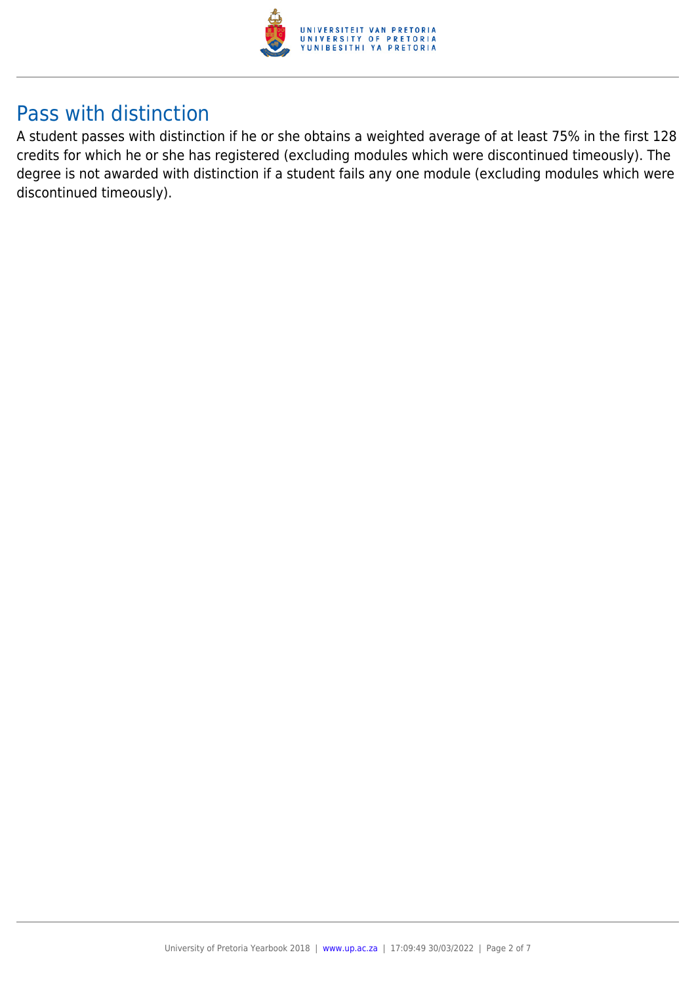

### Pass with distinction

A student passes with distinction if he or she obtains a weighted average of at least 75% in the first 128 credits for which he or she has registered (excluding modules which were discontinued timeously). The degree is not awarded with distinction if a student fails any one module (excluding modules which were discontinued timeously).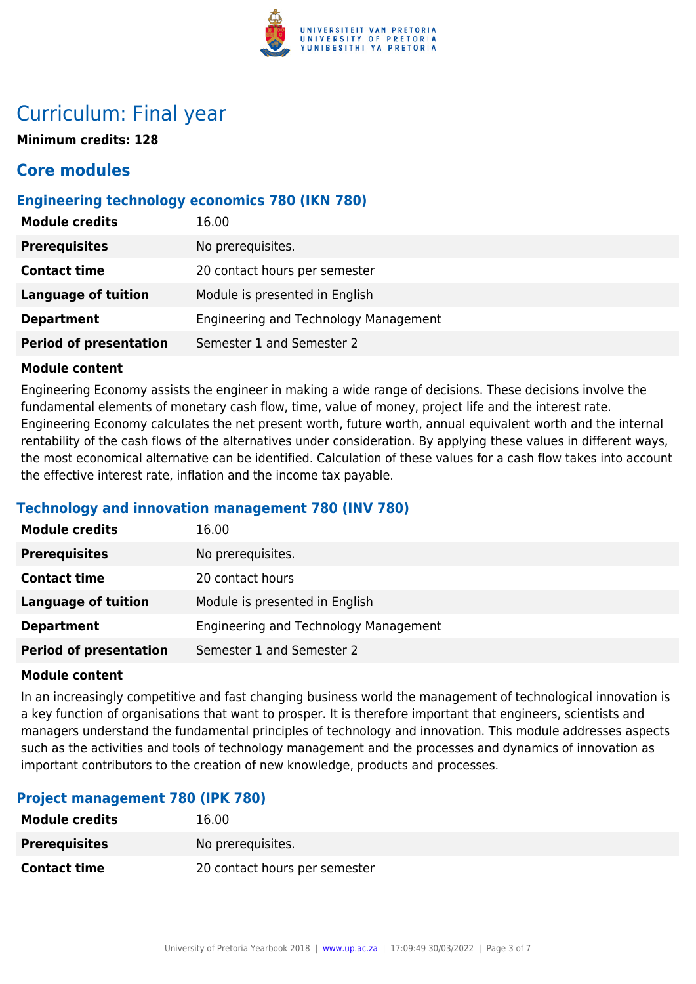

## Curriculum: Final year

**Minimum credits: 128**

### **Core modules**

#### **Engineering technology economics 780 (IKN 780)**

| <b>Module credits</b>         | 16.00                                        |
|-------------------------------|----------------------------------------------|
| <b>Prerequisites</b>          | No prerequisites.                            |
| <b>Contact time</b>           | 20 contact hours per semester                |
| <b>Language of tuition</b>    | Module is presented in English               |
| <b>Department</b>             | <b>Engineering and Technology Management</b> |
| <b>Period of presentation</b> | Semester 1 and Semester 2                    |

#### **Module content**

Engineering Economy assists the engineer in making a wide range of decisions. These decisions involve the fundamental elements of monetary cash flow, time, value of money, project life and the interest rate. Engineering Economy calculates the net present worth, future worth, annual equivalent worth and the internal rentability of the cash flows of the alternatives under consideration. By applying these values in different ways, the most economical alternative can be identified. Calculation of these values for a cash flow takes into account the effective interest rate, inflation and the income tax payable.

#### **Technology and innovation management 780 (INV 780)**

| <b>Module credits</b>         | 16.00                                 |
|-------------------------------|---------------------------------------|
| <b>Prerequisites</b>          | No prerequisites.                     |
| <b>Contact time</b>           | 20 contact hours                      |
| <b>Language of tuition</b>    | Module is presented in English        |
| <b>Department</b>             | Engineering and Technology Management |
| <b>Period of presentation</b> | Semester 1 and Semester 2             |

#### **Module content**

In an increasingly competitive and fast changing business world the management of technological innovation is a key function of organisations that want to prosper. It is therefore important that engineers, scientists and managers understand the fundamental principles of technology and innovation. This module addresses aspects such as the activities and tools of technology management and the processes and dynamics of innovation as important contributors to the creation of new knowledge, products and processes.

#### **Project management 780 (IPK 780)**

| <b>Module credits</b> | 16.00                         |
|-----------------------|-------------------------------|
| <b>Prerequisites</b>  | No prereguisites.             |
| <b>Contact time</b>   | 20 contact hours per semester |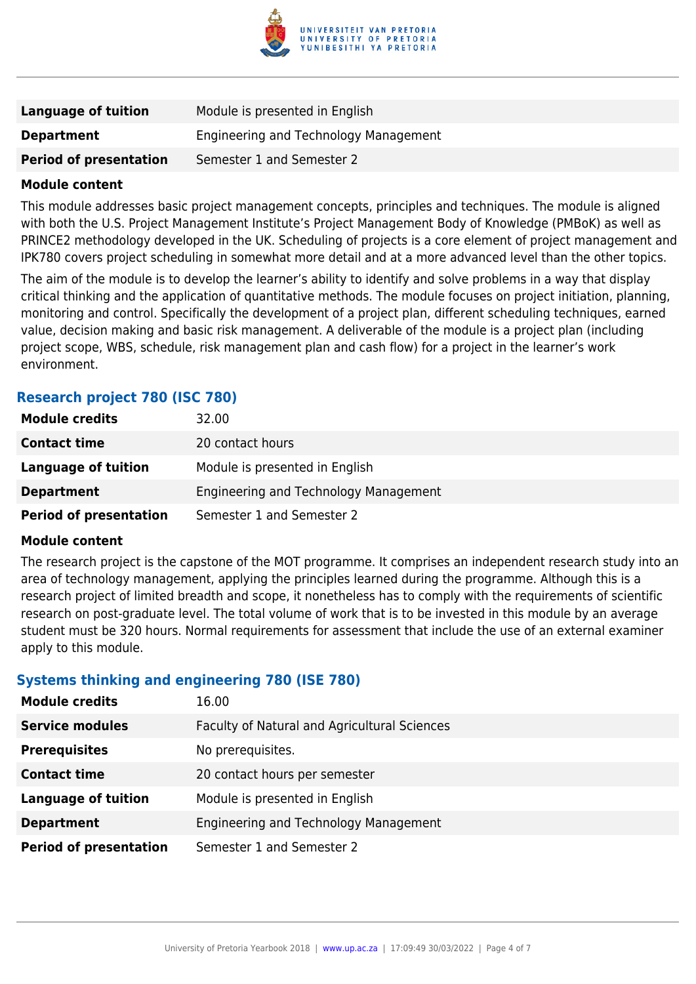

| Language of tuition           | Module is presented in English        |
|-------------------------------|---------------------------------------|
| <b>Department</b>             | Engineering and Technology Management |
| <b>Period of presentation</b> | Semester 1 and Semester 2             |

#### **Module content**

This module addresses basic project management concepts, principles and techniques. The module is aligned with both the U.S. Project Management Institute's Project Management Body of Knowledge (PMBoK) as well as PRINCE2 methodology developed in the UK. Scheduling of projects is a core element of project management and IPK780 covers project scheduling in somewhat more detail and at a more advanced level than the other topics.

The aim of the module is to develop the learner's ability to identify and solve problems in a way that display critical thinking and the application of quantitative methods. The module focuses on project initiation, planning, monitoring and control. Specifically the development of a project plan, different scheduling techniques, earned value, decision making and basic risk management. A deliverable of the module is a project plan (including project scope, WBS, schedule, risk management plan and cash flow) for a project in the learner's work environment.

#### **Research project 780 (ISC 780)**

| <b>Module credits</b>         | 32.00                                 |
|-------------------------------|---------------------------------------|
| <b>Contact time</b>           | 20 contact hours                      |
| Language of tuition           | Module is presented in English        |
| <b>Department</b>             | Engineering and Technology Management |
| <b>Period of presentation</b> | Semester 1 and Semester 2             |

#### **Module content**

The research project is the capstone of the MOT programme. It comprises an independent research study into an area of technology management, applying the principles learned during the programme. Although this is a research project of limited breadth and scope, it nonetheless has to comply with the requirements of scientific research on post-graduate level. The total volume of work that is to be invested in this module by an average student must be 320 hours. Normal requirements for assessment that include the use of an external examiner apply to this module.

#### **Systems thinking and engineering 780 (ISE 780)**

| <b>Module credits</b>         | 16.00                                        |
|-------------------------------|----------------------------------------------|
| <b>Service modules</b>        | Faculty of Natural and Agricultural Sciences |
| <b>Prerequisites</b>          | No prerequisites.                            |
| <b>Contact time</b>           | 20 contact hours per semester                |
| <b>Language of tuition</b>    | Module is presented in English               |
| <b>Department</b>             | Engineering and Technology Management        |
| <b>Period of presentation</b> | Semester 1 and Semester 2                    |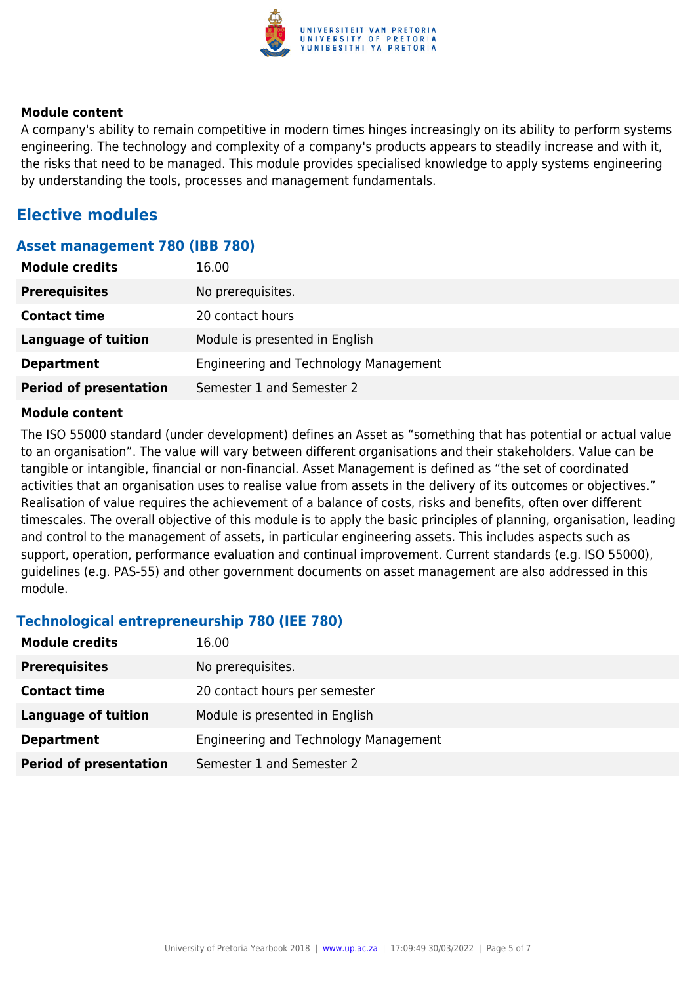

#### **Module content**

A company's ability to remain competitive in modern times hinges increasingly on its ability to perform systems engineering. The technology and complexity of a company's products appears to steadily increase and with it, the risks that need to be managed. This module provides specialised knowledge to apply systems engineering by understanding the tools, processes and management fundamentals.

### **Elective modules**

#### **Asset management 780 (IBB 780)**

| <b>Module credits</b>         | 16.00                                 |
|-------------------------------|---------------------------------------|
| <b>Prerequisites</b>          | No prerequisites.                     |
| <b>Contact time</b>           | 20 contact hours                      |
| Language of tuition           | Module is presented in English        |
| <b>Department</b>             | Engineering and Technology Management |
| <b>Period of presentation</b> | Semester 1 and Semester 2             |

#### **Module content**

The ISO 55000 standard (under development) defines an Asset as "something that has potential or actual value to an organisation". The value will vary between different organisations and their stakeholders. Value can be tangible or intangible, financial or non-financial. Asset Management is defined as "the set of coordinated activities that an organisation uses to realise value from assets in the delivery of its outcomes or objectives." Realisation of value requires the achievement of a balance of costs, risks and benefits, often over different timescales. The overall objective of this module is to apply the basic principles of planning, organisation, leading and control to the management of assets, in particular engineering assets. This includes aspects such as support, operation, performance evaluation and continual improvement. Current standards (e.g. ISO 55000), guidelines (e.g. PAS-55) and other government documents on asset management are also addressed in this module.

#### **Technological entrepreneurship 780 (IEE 780)**

| <b>Module credits</b>         | 16.00                                 |
|-------------------------------|---------------------------------------|
| <b>Prerequisites</b>          | No prerequisites.                     |
| <b>Contact time</b>           | 20 contact hours per semester         |
| Language of tuition           | Module is presented in English        |
| <b>Department</b>             | Engineering and Technology Management |
| <b>Period of presentation</b> | Semester 1 and Semester 2             |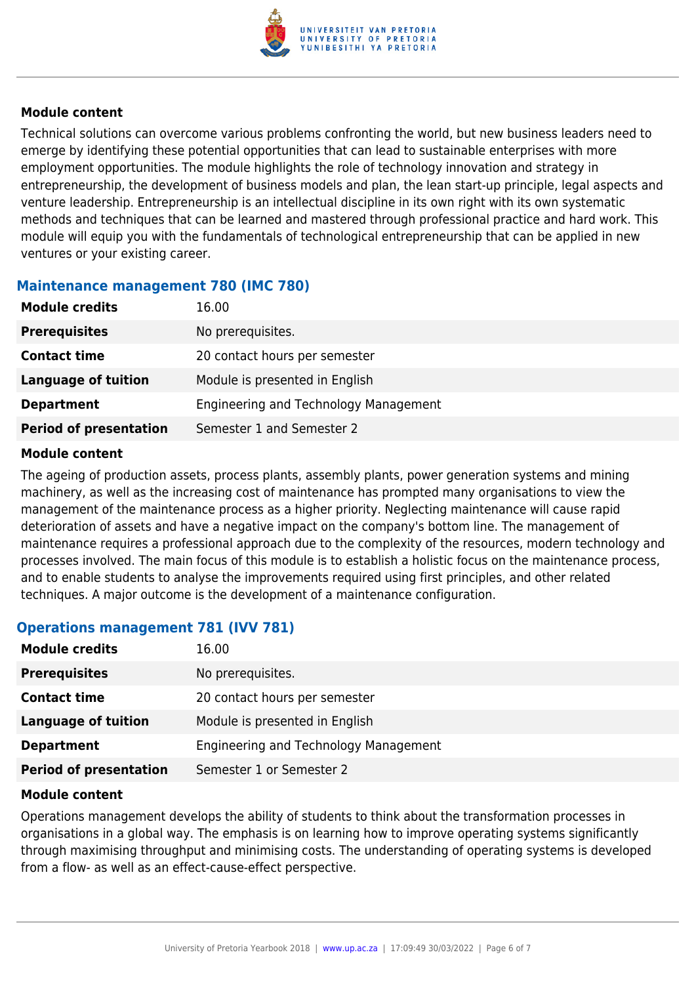

#### **Module content**

Technical solutions can overcome various problems confronting the world, but new business leaders need to emerge by identifying these potential opportunities that can lead to sustainable enterprises with more employment opportunities. The module highlights the role of technology innovation and strategy in entrepreneurship, the development of business models and plan, the lean start-up principle, legal aspects and venture leadership. Entrepreneurship is an intellectual discipline in its own right with its own systematic methods and techniques that can be learned and mastered through professional practice and hard work. This module will equip you with the fundamentals of technological entrepreneurship that can be applied in new ventures or your existing career.

#### **Maintenance management 780 (IMC 780)**

| <b>Module credits</b>         | 16.00                                 |
|-------------------------------|---------------------------------------|
| <b>Prerequisites</b>          | No prerequisites.                     |
| <b>Contact time</b>           | 20 contact hours per semester         |
| Language of tuition           | Module is presented in English        |
| <b>Department</b>             | Engineering and Technology Management |
| <b>Period of presentation</b> | Semester 1 and Semester 2             |

#### **Module content**

The ageing of production assets, process plants, assembly plants, power generation systems and mining machinery, as well as the increasing cost of maintenance has prompted many organisations to view the management of the maintenance process as a higher priority. Neglecting maintenance will cause rapid deterioration of assets and have a negative impact on the company's bottom line. The management of maintenance requires a professional approach due to the complexity of the resources, modern technology and processes involved. The main focus of this module is to establish a holistic focus on the maintenance process, and to enable students to analyse the improvements required using first principles, and other related techniques. A major outcome is the development of a maintenance configuration.

#### **Operations management 781 (IVV 781)**

| <b>Module credits</b>         | 16.00                                 |
|-------------------------------|---------------------------------------|
| <b>Prerequisites</b>          | No prerequisites.                     |
| <b>Contact time</b>           | 20 contact hours per semester         |
| <b>Language of tuition</b>    | Module is presented in English        |
| <b>Department</b>             | Engineering and Technology Management |
| <b>Period of presentation</b> | Semester 1 or Semester 2              |

#### **Module content**

Operations management develops the ability of students to think about the transformation processes in organisations in a global way. The emphasis is on learning how to improve operating systems significantly through maximising throughput and minimising costs. The understanding of operating systems is developed from a flow- as well as an effect-cause-effect perspective.